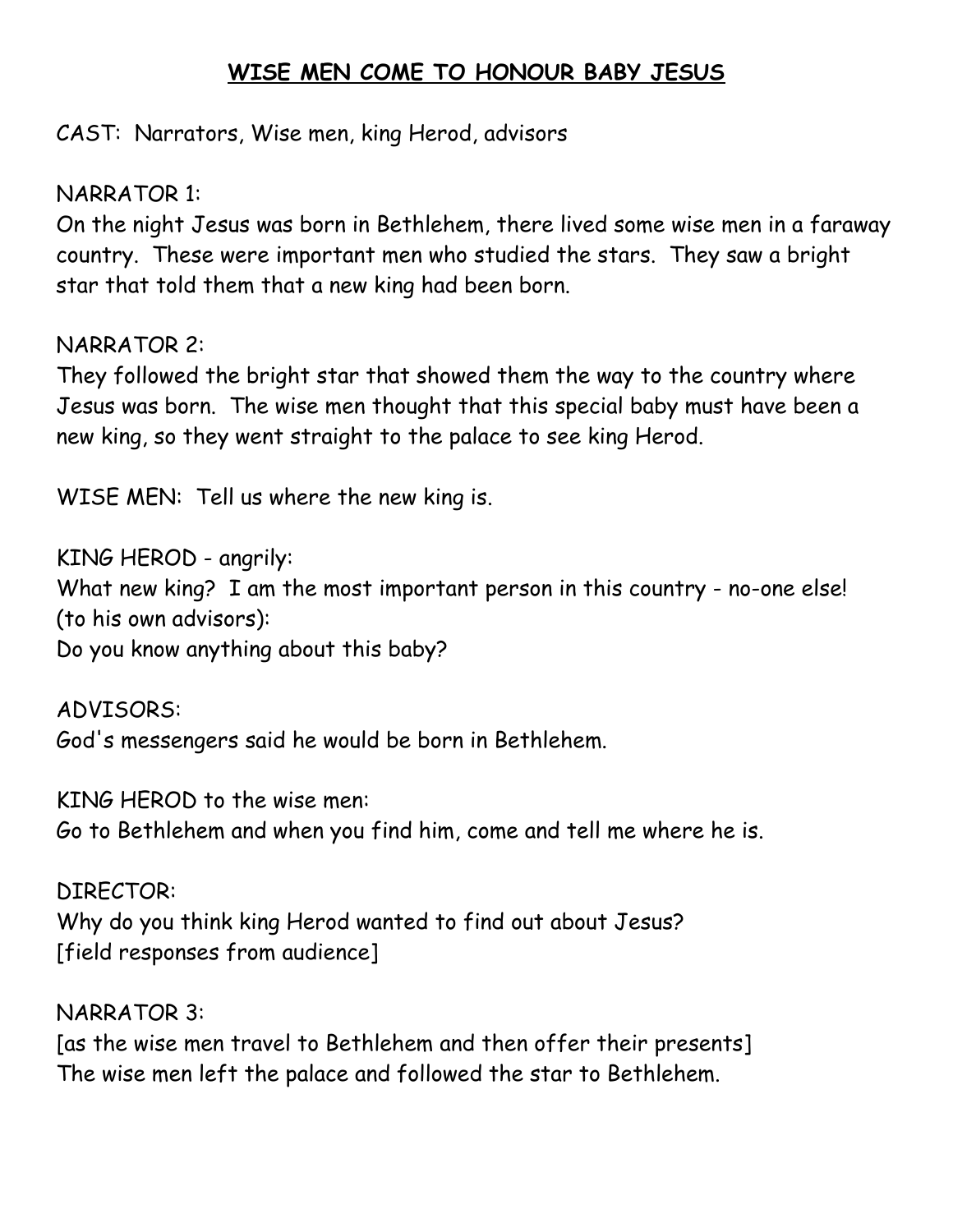## **WISE MEN COME TO HONOUR BABY JESUS**

CAST: Narrators, Wise men, king Herod, advisors

NARRATOR 1:

On the night Jesus was born in Bethlehem, there lived some wise men in a faraway country. These were important men who studied the stars. They saw a bright star that told them that a new king had been born.

#### NARRATOR 2:

They followed the bright star that showed them the way to the country where Jesus was born. The wise men thought that this special baby must have been a new king, so they went straight to the palace to see king Herod.

WISE MEN: Tell us where the new king is.

KING HEROD - angrily: What new king? I am the most important person in this country - no-one else! (to his own advisors): Do you know anything about this baby?

ADVISORS: God's messengers said he would be born in Bethlehem.

KING HEROD to the wise men: Go to Bethlehem and when you find him, come and tell me where he is.

DIRECTOR: Why do you think king Herod wanted to find out about Jesus? [field responses from audience]

NARRATOR 3: [as the wise men travel to Bethlehem and then offer their presents] The wise men left the palace and followed the star to Bethlehem.